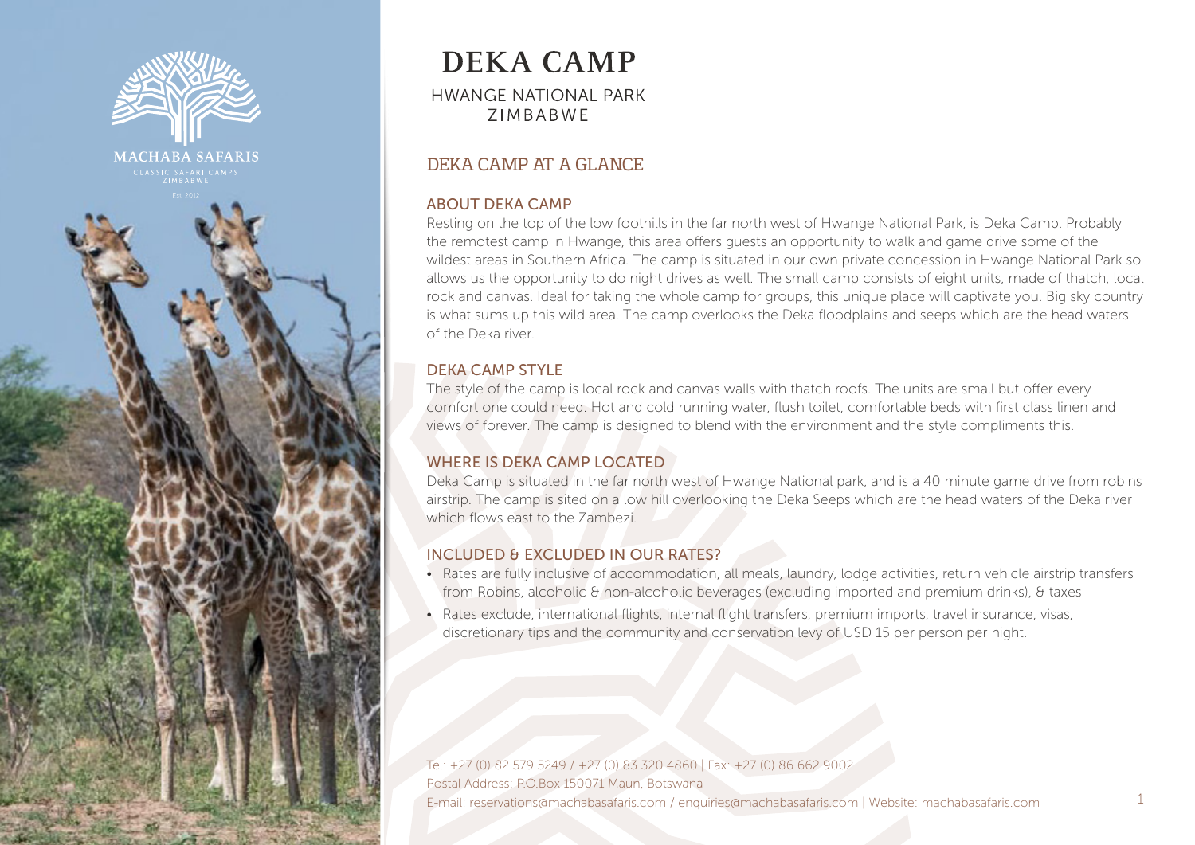

**MACHABA SAFARIS** 



# DEKA CAMP AT A GLANCE

#### ABOUT DEKA CAMP

Resting on the top of the low foothills in the far north west of Hwange National Park, is Deka Camp. Probably the remotest camp in Hwange, this area offers guests an opportunity to walk and game drive some of the wildest areas in Southern Africa. The camp is situated in our own private concession in Hwange National Park so allows us the opportunity to do night drives as well. The small camp consists of eight units, made of thatch, local rock and canvas. Ideal for taking the whole camp for groups, this unique place will captivate you. Big sky country is what sums up this wild area. The camp overlooks the Deka floodplains and seeps which are the head waters of the Deka river.

### DEKA CAMP STYLE

The style of the camp is local rock and canvas walls with thatch roofs. The units are small but offer every comfort one could need. Hot and cold running water, flush toilet, comfortable beds with first class linen and views of forever. The camp is designed to blend with the environment and the style compliments this.

### WHERE IS DEKA CAMP LOCATED

Deka Camp is situated in the far north west of Hwange National park, and is a 40 minute game drive from robins airstrip. The camp is sited on a low hill overlooking the Deka Seeps which are the head waters of the Deka river which flows east to the Zambezi.

### INCLUDED & EXCLUDED IN OUR RATES?

- Rates are fully inclusive of accommodation, all meals, laundry, lodge activities, return vehicle airstrip transfers from Robins, alcoholic & non-alcoholic beverages (excluding imported and premium drinks), & taxes
- Rates exclude, international flights, internal flight transfers, premium imports, travel insurance, visas, discretionary tips and the community and conservation levy of USD 15 per person per night.

Tel: +27 (0) 82 579 5249 / +27 (0) 83 320 4860 | Fax: +27 (0) 86 662 9002 Postal Address: P.O.Box 150071 Maun, Botswana E-mail: reservations@machabasafaris.com / enquiries@machabasafaris.com | Website: machabasafaris.com 1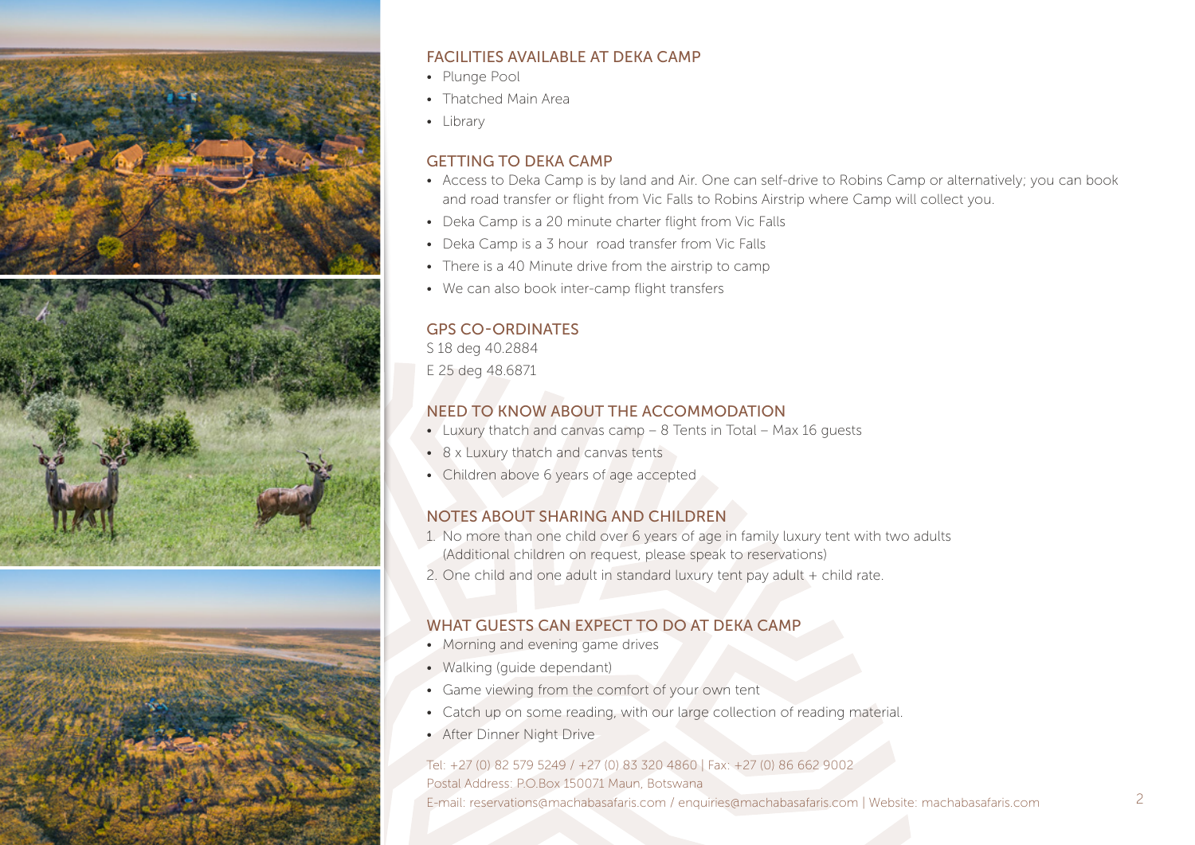

### FACILITIES AVAILABLE AT DEKA CAMP

- Plunge Pool
- Thatched Main Area
- Library

#### GETTING TO DEKA CAMP

- Access to Deka Camp is by land and Air. One can self-drive to Robins Camp or alternatively; you can book and road transfer or flight from Vic Falls to Robins Airstrip where Camp will collect you.
- Deka Camp is a 20 minute charter flight from Vic Falls
- Deka Camp is a 3 hour road transfer from Vic Falls
- There is a 40 Minute drive from the airstrip to camp
- We can also book inter-camp flight transfers

#### GPS CO-ORDINATES

S 18 deg 40.2884 E 25 deg 48.6871

# NEED TO KNOW ABOUT THE ACCOMMODATION

- Luxury thatch and canvas camp 8 Tents in Total Max 16 guests
- 8 x Luxury thatch and canvas tents
- Children above 6 years of age accepted

### NOTES ABOUT SHARING AND CHILDREN

- 1. No more than one child over 6 years of age in family luxury tent with two adults (Additional children on request, please speak to reservations)
- 2. One child and one adult in standard luxury tent pay adult + child rate.

### WHAT GUESTS CAN EXPECT TO DO AT DEKA CAMP

- Morning and evening game drives
- Walking (guide dependant)
- Game viewing from the comfort of your own tent
- Catch up on some reading, with our large collection of reading material.
- After Dinner Night Drive

### Tel: +27 (0) 82 579 5249 / +27 (0) 83 320 4860 | Fax: +27 (0) 86 662 9002

Postal Address: P.O.Box 150071 Maun, Botswana E-mail: reservations@machabasafaris.com / enquiries@machabasafaris.com | Website: machabasafaris.com 2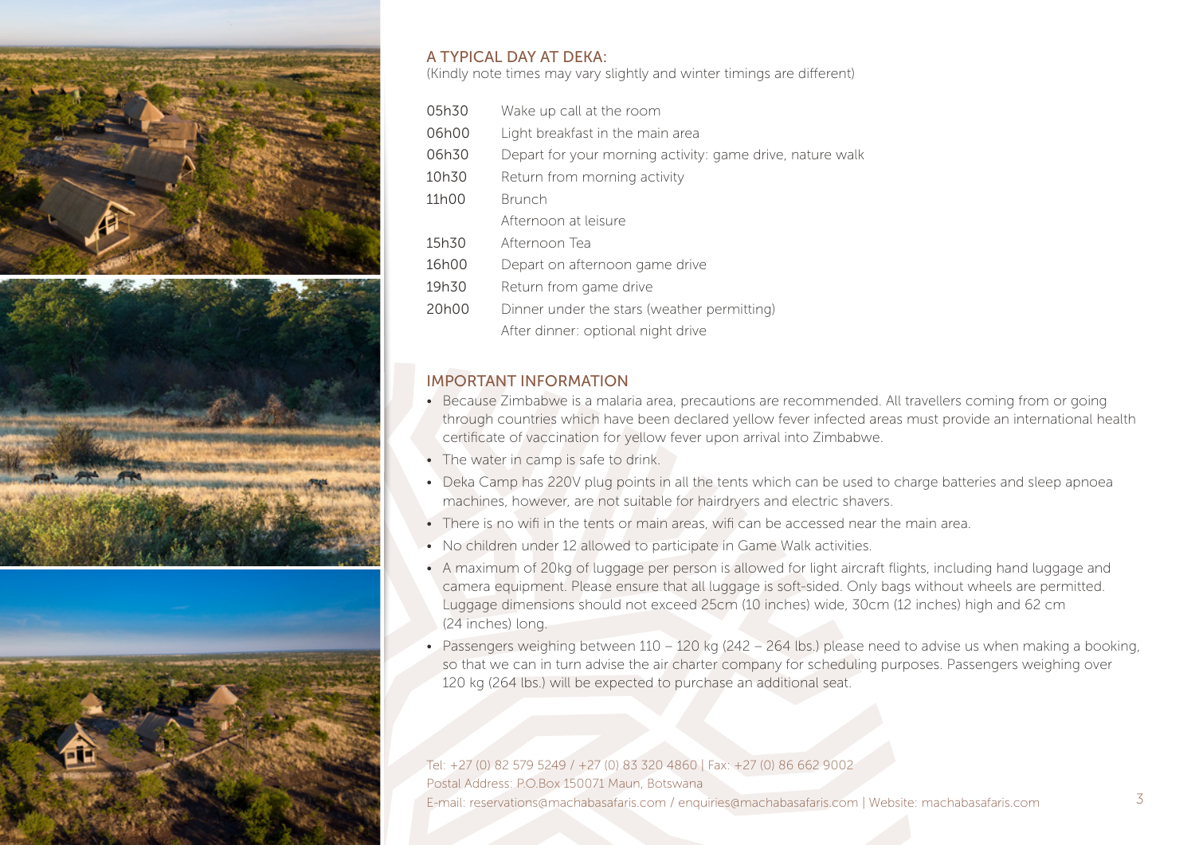

#### A TYPICAL DAY AT DEKA:

(Kindly note times may vary slightly and winter timings are different)

- 05h30 Wake up call at the room
- 06h00 Light breakfast in the main area
- 06h30 Depart for your morning activity: game drive, nature walk
- 10h30 Return from morning activity
- 11h00 Brunch
	- Afternoon at leisure
- 15h30 Afternoon Tea
- 16h00 Depart on afternoon game drive
- 19h30 Return from game drive
- 20h00 Dinner under the stars (weather permitting) After dinner: optional night drive

### IMPORTANT INFORMATION

- Because Zimbabwe is a malaria area, precautions are recommended. All travellers coming from or going through countries which have been declared yellow fever infected areas must provide an international health certificate of vaccination for yellow fever upon arrival into Zimbabwe.
- The water in camp is safe to drink.
- Deka Camp has 220V plug points in all the tents which can be used to charge batteries and sleep apnoea machines, however, are not suitable for hairdryers and electric shavers.
- There is no wifi in the tents or main areas, wifi can be accessed near the main area.
- No children under 12 allowed to participate in Game Walk activities.
- A maximum of 20kg of luggage per person is allowed for light aircraft flights, including hand luggage and camera equipment. Please ensure that all luggage is soft-sided. Only bags without wheels are permitted. Luggage dimensions should not exceed 25cm (10 inches) wide, 30cm (12 inches) high and 62 cm (24 inches) long.
- Passengers weighing between 110 120 kg (242 264 lbs.) please need to advise us when making a booking, so that we can in turn advise the air charter company for scheduling purposes. Passengers weighing over 120 kg (264 lbs.) will be expected to purchase an additional seat.

Tel: +27 (0) 82 579 5249 / +27 (0) 83 320 4860 | Fax: +27 (0) 86 662 9002 Postal Address: P.O.Box 150071 Maun, Botswana E-mail: reservations@machabasafaris.com / enquiries@machabasafaris.com | Website: machabasafaris.com 3